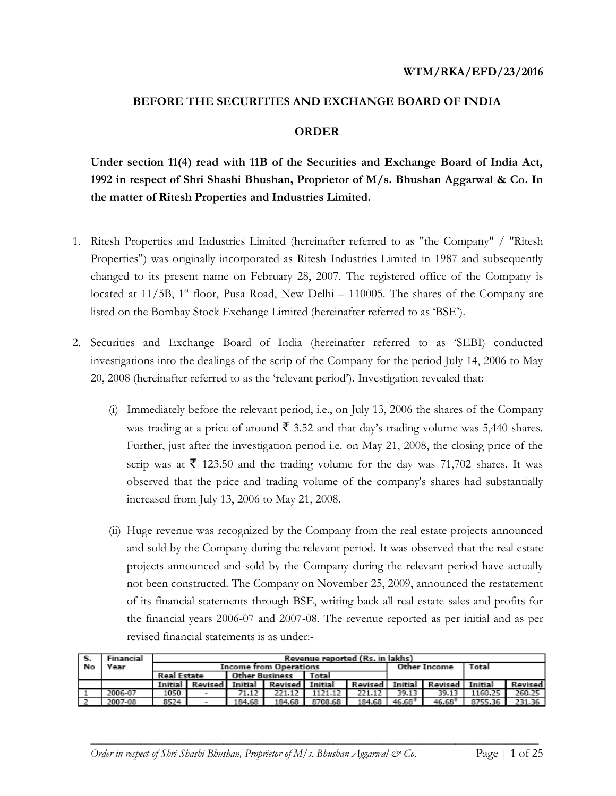#### **BEFORE THE SECURITIES AND EXCHANGE BOARD OF INDIA**

### **ORDER**

**Under section 11(4) read with 11B of the Securities and Exchange Board of India Act, 1992 in respect of Shri Shashi Bhushan, Proprietor of M/s. Bhushan Aggarwal & Co. In the matter of Ritesh Properties and Industries Limited.**

- 1. Ritesh Properties and Industries Limited (hereinafter referred to as "the Company" / "Ritesh Properties") was originally incorporated as Ritesh Industries Limited in 1987 and subsequently changed to its present name on February 28, 2007. The registered office of the Company is located at 11/5B, 1<sup>st</sup> floor, Pusa Road, New Delhi – 110005. The shares of the Company are listed on the Bombay Stock Exchange Limited (hereinafter referred to as 'BSE').
- 2. Securities and Exchange Board of India (hereinafter referred to as 'SEBI) conducted investigations into the dealings of the scrip of the Company for the period July 14, 2006 to May 20, 2008 (hereinafter referred to as the 'relevant period'). Investigation revealed that:
	- (i) Immediately before the relevant period, i.e., on July 13, 2006 the shares of the Company was trading at a price of around  $\bar{\mathbf{\zeta}}$  3.52 and that day's trading volume was 5,440 shares. Further, just after the investigation period i.e. on May 21, 2008, the closing price of the scrip was at  $\bar{\tau}$  123.50 and the trading volume for the day was 71,702 shares. It was observed that the price and trading volume of the company's shares had substantially increased from July 13, 2006 to May 21, 2008.
	- (ii) Huge revenue was recognized by the Company from the real estate projects announced and sold by the Company during the relevant period. It was observed that the real estate projects announced and sold by the Company during the relevant period have actually not been constructed. The Company on November 25, 2009, announced the restatement of its financial statements through BSE, writing back all real estate sales and profits for the financial years 2006-07 and 2007-08. The revenue reported as per initial and as per revised financial statements is as under:-

| ۱s. | Financial | Revenue reported (Rs. in lakhs) |                                                      |        |                                         |         |        |          |                                 |         |         |
|-----|-----------|---------------------------------|------------------------------------------------------|--------|-----------------------------------------|---------|--------|----------|---------------------------------|---------|---------|
| Nο  | Year      | <b>Income from Operations</b>   |                                                      |        |                                         |         |        |          | Other Income                    | Total   |         |
|     |           |                                 | <b>Real Estate</b><br><b>Other Business</b><br>Total |        |                                         |         |        |          |                                 |         |         |
|     |           |                                 |                                                      |        | Initial Revised Initial Revised Initial |         |        |          | Revised Initial Revised Initial |         | Revised |
|     | 2006-07   | 1050                            | $\overline{\phantom{a}}$                             | 71.12  | 221.12                                  | 1121.12 | 221.12 | 39.13    | 39.13                           | 1160.25 | 260.25  |
|     | 2007-08   | 8524                            |                                                      | 184.68 | 184.68                                  | 8708.68 | 184.68 | $46.68*$ | $46.68*$                        | 8755.36 | 231.36  |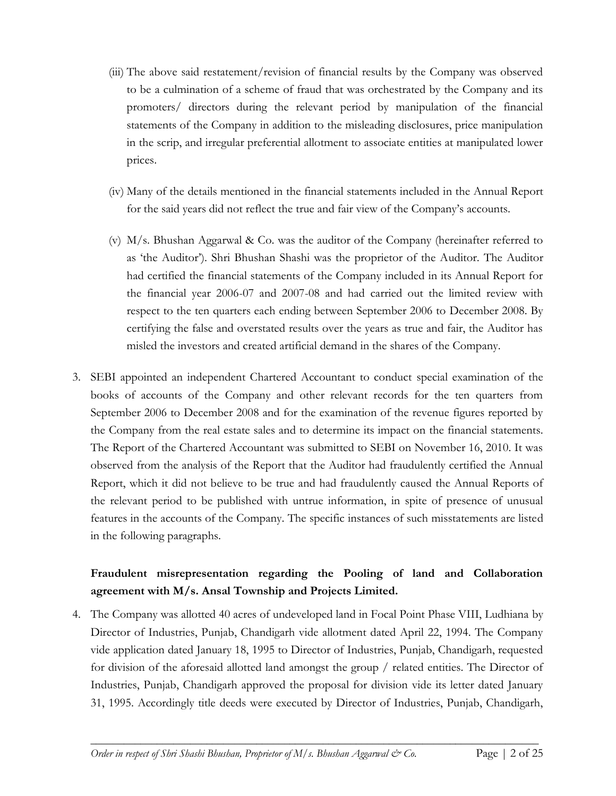- (iii) The above said restatement/revision of financial results by the Company was observed to be a culmination of a scheme of fraud that was orchestrated by the Company and its promoters/ directors during the relevant period by manipulation of the financial statements of the Company in addition to the misleading disclosures, price manipulation in the scrip, and irregular preferential allotment to associate entities at manipulated lower prices.
- (iv) Many of the details mentioned in the financial statements included in the Annual Report for the said years did not reflect the true and fair view of the Company's accounts.
- (v) M/s. Bhushan Aggarwal & Co. was the auditor of the Company (hereinafter referred to as 'the Auditor'). Shri Bhushan Shashi was the proprietor of the Auditor. The Auditor had certified the financial statements of the Company included in its Annual Report for the financial year 2006-07 and 2007-08 and had carried out the limited review with respect to the ten quarters each ending between September 2006 to December 2008. By certifying the false and overstated results over the years as true and fair, the Auditor has misled the investors and created artificial demand in the shares of the Company.
- 3. SEBI appointed an independent Chartered Accountant to conduct special examination of the books of accounts of the Company and other relevant records for the ten quarters from September 2006 to December 2008 and for the examination of the revenue figures reported by the Company from the real estate sales and to determine its impact on the financial statements. The Report of the Chartered Accountant was submitted to SEBI on November 16, 2010. It was observed from the analysis of the Report that the Auditor had fraudulently certified the Annual Report, which it did not believe to be true and had fraudulently caused the Annual Reports of the relevant period to be published with untrue information, in spite of presence of unusual features in the accounts of the Company. The specific instances of such misstatements are listed in the following paragraphs.

# **Fraudulent misrepresentation regarding the Pooling of land and Collaboration agreement with M/s. Ansal Township and Projects Limited.**

4. The Company was allotted 40 acres of undeveloped land in Focal Point Phase VIII, Ludhiana by Director of Industries, Punjab, Chandigarh vide allotment dated April 22, 1994. The Company vide application dated January 18, 1995 to Director of Industries, Punjab, Chandigarh, requested for division of the aforesaid allotted land amongst the group / related entities. The Director of Industries, Punjab, Chandigarh approved the proposal for division vide its letter dated January 31, 1995. Accordingly title deeds were executed by Director of Industries, Punjab, Chandigarh,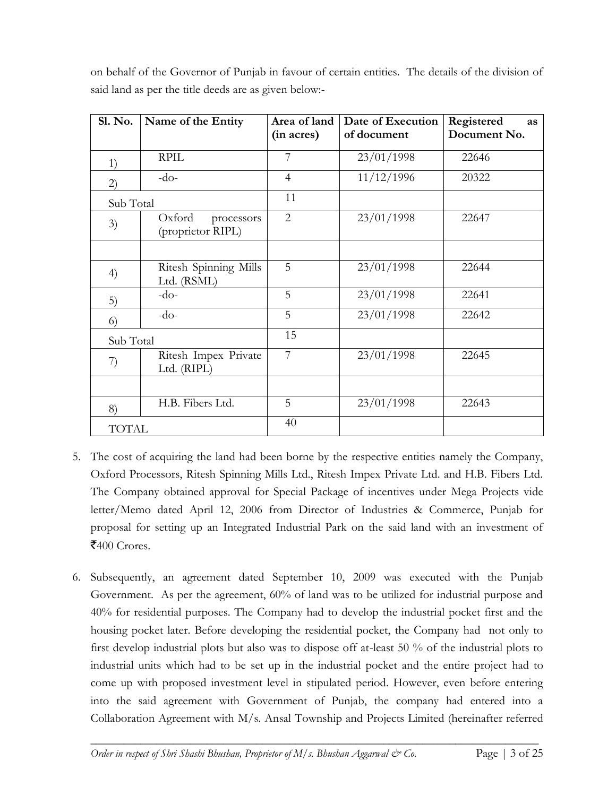| <b>Sl. No.</b> | Name of the Entity                        | Area of land   | Date of Execution | Registered<br><b>as</b> |
|----------------|-------------------------------------------|----------------|-------------------|-------------------------|
|                |                                           | (in acres)     | of document       | Document No.            |
| 1)             | <b>RPIL</b>                               | 7              | 23/01/1998        | 22646                   |
| (2)            | $-do-$                                    | $\overline{4}$ | 11/12/1996        | 20322                   |
| Sub Total      |                                           | 11             |                   |                         |
| 3)             | Oxford<br>processors<br>(proprietor RIPL) | $\overline{2}$ | 23/01/1998        | 22647                   |
|                |                                           |                |                   |                         |
| 4)             | Ritesh Spinning Mills<br>Ltd. (RSML)      | 5              | 23/01/1998        | 22644                   |
| 5)             | $-do-$                                    | 5              | 23/01/1998        | 22641                   |
| $\circ$        | $-do-$                                    | 5              | 23/01/1998        | 22642                   |
| Sub Total      |                                           | 15             |                   |                         |
| 7)             | Ritesh Impex Private<br>Ltd. (RIPL)       | 7              | 23/01/1998        | 22645                   |
|                |                                           |                |                   |                         |
| 8)             | H.B. Fibers Ltd.                          | 5              | 23/01/1998        | 22643                   |
| <b>TOTAL</b>   |                                           | 40             |                   |                         |

on behalf of the Governor of Punjab in favour of certain entities. The details of the division of said land as per the title deeds are as given below:-

- 5. The cost of acquiring the land had been borne by the respective entities namely the Company, Oxford Processors, Ritesh Spinning Mills Ltd., Ritesh Impex Private Ltd. and H.B. Fibers Ltd. The Company obtained approval for Special Package of incentives under Mega Projects vide letter/Memo dated April 12, 2006 from Director of Industries & Commerce, Punjab for proposal for setting up an Integrated Industrial Park on the said land with an investment of  $\mathsf{F}400$  Crores.
- 6. Subsequently, an agreement dated September 10, 2009 was executed with the Punjab Government. As per the agreement, 60% of land was to be utilized for industrial purpose and 40% for residential purposes. The Company had to develop the industrial pocket first and the housing pocket later. Before developing the residential pocket, the Company had not only to first develop industrial plots but also was to dispose off at-least 50 % of the industrial plots to industrial units which had to be set up in the industrial pocket and the entire project had to come up with proposed investment level in stipulated period. However, even before entering into the said agreement with Government of Punjab, the company had entered into a Collaboration Agreement with M/s. Ansal Township and Projects Limited (hereinafter referred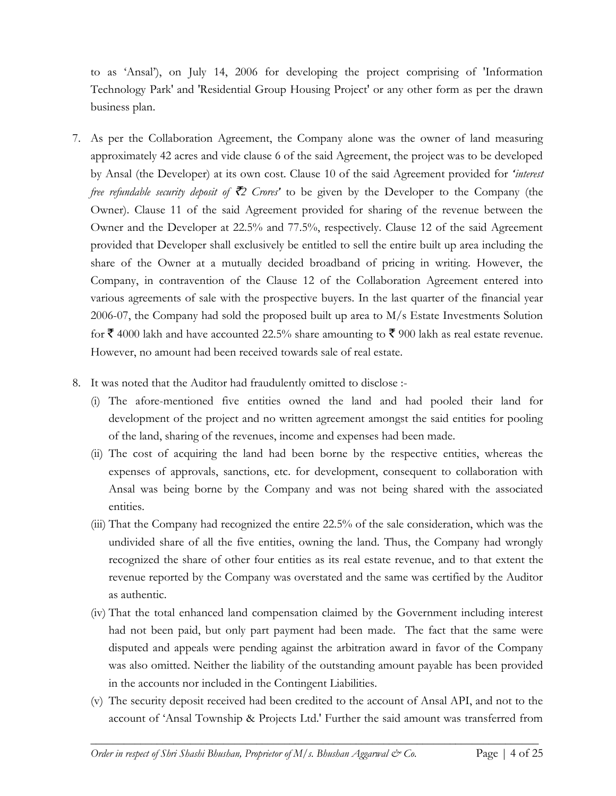to as 'Ansal'), on July 14, 2006 for developing the project comprising of 'Information Technology Park' and 'Residential Group Housing Project' or any other form as per the drawn business plan.

- 7. As per the Collaboration Agreement, the Company alone was the owner of land measuring approximately 42 acres and vide clause 6 of the said Agreement, the project was to be developed by Ansal (the Developer) at its own cost. Clause 10 of the said Agreement provided for *'interest free refundable security deposit of*  $\bar{\mathcal{Z}}$  *Crores*<sup>*'*</sup> to be given by the Developer to the Company (the Owner). Clause 11 of the said Agreement provided for sharing of the revenue between the Owner and the Developer at 22.5% and 77.5%, respectively. Clause 12 of the said Agreement provided that Developer shall exclusively be entitled to sell the entire built up area including the share of the Owner at a mutually decided broadband of pricing in writing. However, the Company, in contravention of the Clause 12 of the Collaboration Agreement entered into various agreements of sale with the prospective buyers. In the last quarter of the financial year 2006-07, the Company had sold the proposed built up area to M/s Estate Investments Solution for  $\bar{\mathfrak{F}}$  4000 lakh and have accounted 22.5% share amounting to  $\bar{\mathfrak{F}}$  900 lakh as real estate revenue. However, no amount had been received towards sale of real estate.
- 8. It was noted that the Auditor had fraudulently omitted to disclose :-
	- (i) The afore-mentioned five entities owned the land and had pooled their land for development of the project and no written agreement amongst the said entities for pooling of the land, sharing of the revenues, income and expenses had been made.
	- (ii) The cost of acquiring the land had been borne by the respective entities, whereas the expenses of approvals, sanctions, etc. for development, consequent to collaboration with Ansal was being borne by the Company and was not being shared with the associated entities.
	- (iii) That the Company had recognized the entire 22.5% of the sale consideration, which was the undivided share of all the five entities, owning the land. Thus, the Company had wrongly recognized the share of other four entities as its real estate revenue, and to that extent the revenue reported by the Company was overstated and the same was certified by the Auditor as authentic.
	- (iv) That the total enhanced land compensation claimed by the Government including interest had not been paid, but only part payment had been made. The fact that the same were disputed and appeals were pending against the arbitration award in favor of the Company was also omitted. Neither the liability of the outstanding amount payable has been provided in the accounts nor included in the Contingent Liabilities.
	- (v) The security deposit received had been credited to the account of Ansal API, and not to the account of 'Ansal Township & Projects Ltd.' Further the said amount was transferred from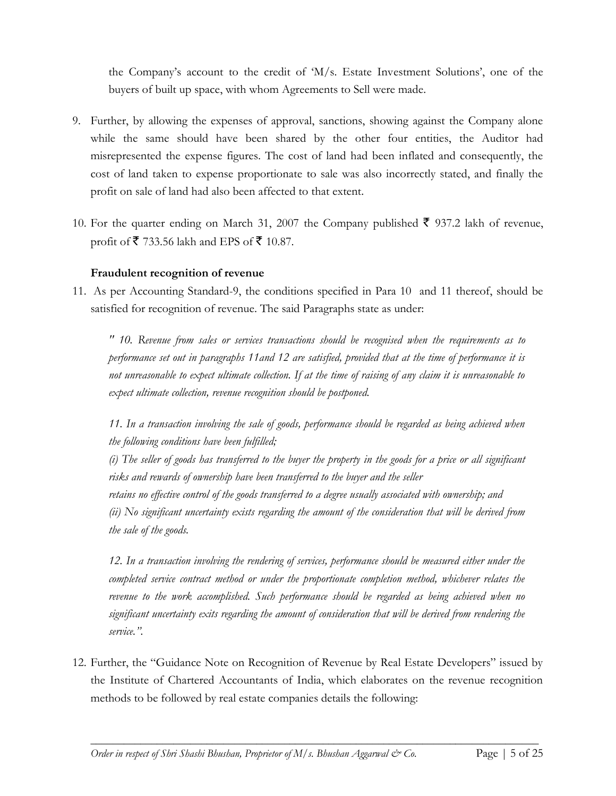the Company's account to the credit of 'M/s. Estate Investment Solutions', one of the buyers of built up space, with whom Agreements to Sell were made.

- 9. Further, by allowing the expenses of approval, sanctions, showing against the Company alone while the same should have been shared by the other four entities, the Auditor had misrepresented the expense figures. The cost of land had been inflated and consequently, the cost of land taken to expense proportionate to sale was also incorrectly stated, and finally the profit on sale of land had also been affected to that extent.
- 10. For the quarter ending on March 31, 2007 the Company published  $\bar{\xi}$  937.2 lakh of revenue, profit of  $\bar{\mathbf{\mathcal{F}}}$  733.56 lakh and EPS of  $\bar{\mathbf{\mathcal{F}}}$  10.87.

## **Fraudulent recognition of revenue**

11. As per Accounting Standard-9, the conditions specified in Para 10 and 11 thereof, should be satisfied for recognition of revenue. The said Paragraphs state as under:

*" 10. Revenue from sales or services transactions should be recognised when the requirements as to performance set out in paragraphs 11and 12 are satisfied, provided that at the time of performance it is not unreasonable to expect ultimate collection. If at the time of raising of any claim it is unreasonable to expect ultimate collection, revenue recognition should be postponed.*

*11. In a transaction involving the sale of goods, performance should be regarded as being achieved when the following conditions have been fulfilled;*

*(i) The seller of goods has transferred to the buyer the property in the goods for a price or all significant risks and rewards of ownership have been transferred to the buyer and the seller*

*retains no effective control of the goods transferred to a degree usually associated with ownership; and (ii) No significant uncertainty exists regarding the amount of the consideration that will be derived from the sale of the goods.*

*12. In a transaction involving the rendering of services, performance should be measured either under the completed service contract method or under the proportionate completion method, whichever relates the*  revenue to the work accomplished. Such performance should be regarded as being achieved when no *significant uncertainty exits regarding the amount of consideration that will be derived from rendering the service.".* 

12. Further, the "Guidance Note on Recognition of Revenue by Real Estate Developers" issued by the Institute of Chartered Accountants of India, which elaborates on the revenue recognition methods to be followed by real estate companies details the following: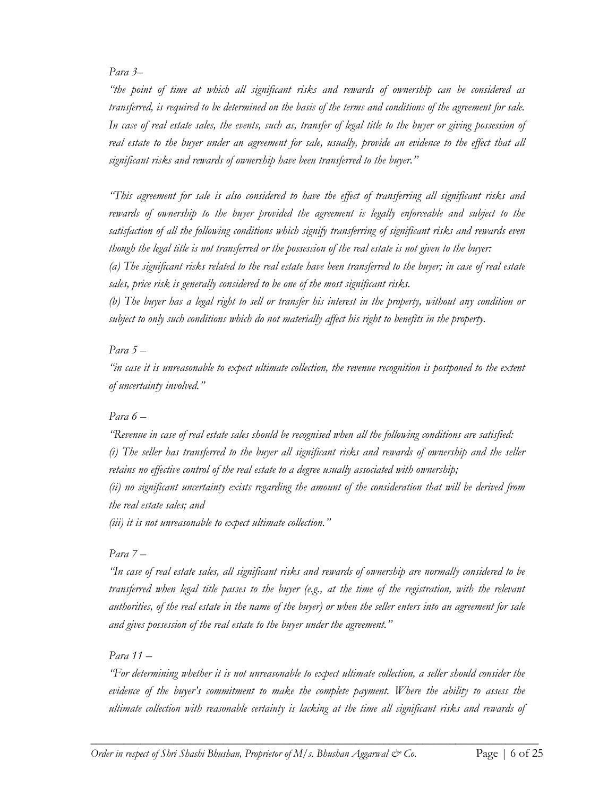#### *Para 3–*

*"the point of time at which all significant risks and rewards of ownership can be considered as transferred, is required to be determined on the basis of the terms and conditions of the agreement for sale.*  In case of real estate sales, the events, such as, transfer of legal title to the buyer or giving possession of *real estate to the buyer under an agreement for sale, usually, provide an evidence to the effect that all significant risks and rewards of ownership have been transferred to the buyer."*

*"This agreement for sale is also considered to have the effect of transferring all significant risks and rewards of ownership to the buyer provided the agreement is legally enforceable and subject to the satisfaction of all the following conditions which signify transferring of significant risks and rewards even though the legal title is not transferred or the possession of the real estate is not given to the buyer:*

*(a) The significant risks related to the real estate have been transferred to the buyer; in case of real estate sales, price risk is generally considered to be one of the most significant risks.*

*(b) The buyer has a legal right to sell or transfer his interest in the property, without any condition or subject to only such conditions which do not materially affect his right to benefits in the property.*

## *Para 5 –*

*"in case it is unreasonable to expect ultimate collection, the revenue recognition is postponed to the extent of uncertainty involved."*

## *Para 6 –*

*"Revenue in case of real estate sales should be recognised when all the following conditions are satisfied: (i) The seller has transferred to the buyer all significant risks and rewards of ownership and the seller retains no effective control of the real estate to a degree usually associated with ownership; (ii) no significant uncertainty exists regarding the amount of the consideration that will be derived from* 

*the real estate sales; and* 

*(iii) it is not unreasonable to expect ultimate collection."*

## *Para 7 –*

*"In case of real estate sales, all significant risks and rewards of ownership are normally considered to be transferred when legal title passes to the buyer (e.g., at the time of the registration, with the relevant authorities, of the real estate in the name of the buyer) or when the seller enters into an agreement for sale and gives possession of the real estate to the buyer under the agreement."*

## *Para 11 –*

*"For determining whether it is not unreasonable to expect ultimate collection, a seller should consider the evidence of the buyer's commitment to make the complete payment. Where the ability to assess the ultimate collection with reasonable certainty is lacking at the time all significant risks and rewards of*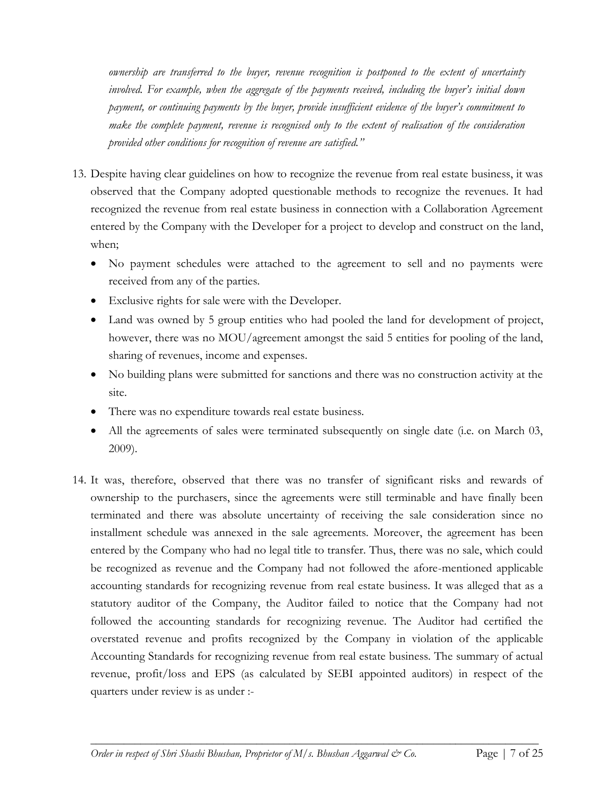*ownership are transferred to the buyer, revenue recognition is postponed to the extent of uncertainty involved. For example, when the aggregate of the payments received, including the buyer's initial down payment, or continuing payments by the buyer, provide insufficient evidence of the buyer's commitment to make the complete payment, revenue is recognised only to the extent of realisation of the consideration provided other conditions for recognition of revenue are satisfied."*

- 13. Despite having clear guidelines on how to recognize the revenue from real estate business, it was observed that the Company adopted questionable methods to recognize the revenues. It had recognized the revenue from real estate business in connection with a Collaboration Agreement entered by the Company with the Developer for a project to develop and construct on the land, when;
	- No payment schedules were attached to the agreement to sell and no payments were received from any of the parties.
	- Exclusive rights for sale were with the Developer.
	- Land was owned by 5 group entities who had pooled the land for development of project, however, there was no MOU/agreement amongst the said 5 entities for pooling of the land, sharing of revenues, income and expenses.
	- No building plans were submitted for sanctions and there was no construction activity at the site.
	- There was no expenditure towards real estate business.
	- All the agreements of sales were terminated subsequently on single date (i.e. on March 03, 2009).
- 14. It was, therefore, observed that there was no transfer of significant risks and rewards of ownership to the purchasers, since the agreements were still terminable and have finally been terminated and there was absolute uncertainty of receiving the sale consideration since no installment schedule was annexed in the sale agreements. Moreover, the agreement has been entered by the Company who had no legal title to transfer. Thus, there was no sale, which could be recognized as revenue and the Company had not followed the afore-mentioned applicable accounting standards for recognizing revenue from real estate business. It was alleged that as a statutory auditor of the Company, the Auditor failed to notice that the Company had not followed the accounting standards for recognizing revenue. The Auditor had certified the overstated revenue and profits recognized by the Company in violation of the applicable Accounting Standards for recognizing revenue from real estate business. The summary of actual revenue, profit/loss and EPS (as calculated by SEBI appointed auditors) in respect of the quarters under review is as under :-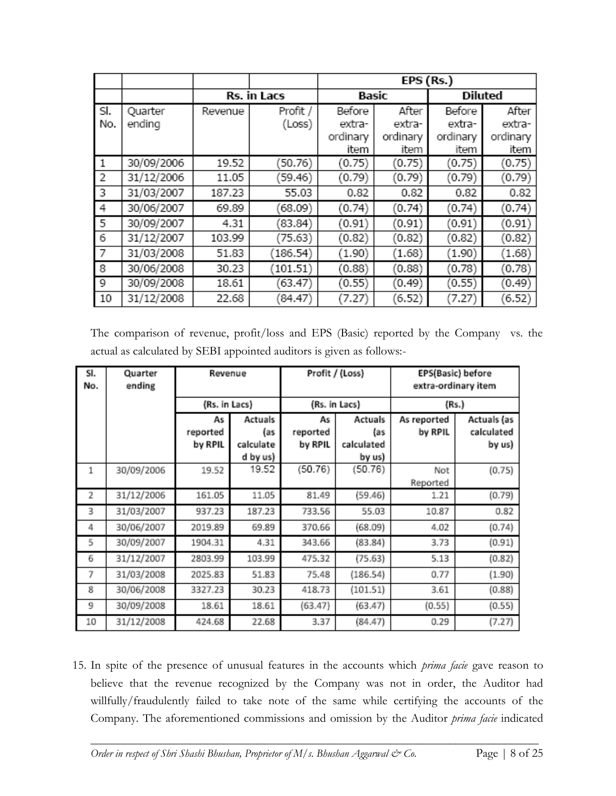|              |            |                    |          | EPS (Rs.) |          |                |          |  |
|--------------|------------|--------------------|----------|-----------|----------|----------------|----------|--|
|              |            | <b>Rs. in Lacs</b> |          | Basic     |          | <b>Diluted</b> |          |  |
| SI.          | Quarter    | Revenue            | Profit / | Before    | After    | Before         | After    |  |
| No.          | ending     |                    | (Loss)   | extra-    | extra-   | extra-         | extra-   |  |
|              |            |                    |          | ordinary  | ordinary | ordinary       | ordinary |  |
|              |            |                    |          | item      | item     | item           | item     |  |
| $\mathbf{1}$ | 30/09/2006 | 19.52              | (50.76)  | (0.75)    | (0.75)   | (0.75)         | (0.75)   |  |
| 2            | 31/12/2006 | 11.05              | (59.46)  | (0.79)    | (0.79)   | (0.79)         | (0.79)   |  |
| 3            | 31/03/2007 | 187.23             | 55.03    | 0.82      | 0.82     | 0.82           | 0.82     |  |
| 4            | 30/06/2007 | 69.89              | (68.09)  | (0.74)    | (0.74)   | (0.74)         | (0.74)   |  |
| 5            | 30/09/2007 | 4.31               | (83.84)  | (0.91)    | (0.91)   | (0.91)         | (0.91)   |  |
| 6            | 31/12/2007 | 103.99             | (75.63)  | (0.82)    | (0.82)   | (0.82)         | (0.82)   |  |
| 7            | 31/03/2008 | 51.83              | (186.54) | (1.90)    | (1.68)   | (1.90)         | (1.68)   |  |
| 8            | 30/06/2008 | 30.23              | (101.51) | (0.88)    | (0.88)   | (0.78)         | (0.78)   |  |
| 9            | 30/09/2008 | 18.61              | (63.47)  | (0.55)    | (0.49)   | (0.55)         | (0.49)   |  |
| 10           | 31/12/2008 | 22.68              | (84.47)  | 7.27      | (6.52)   | (7.27)         | (6.52)   |  |

The comparison of revenue, profit/loss and EPS (Basic) reported by the Company vs. the actual as calculated by SEBI appointed auditors is given as follows:-

| SI.<br>No. | Quarter<br>ending | Revenue       |           | Profit / (Loss) |               | EPS(Basic) before<br>extra-ordinary item |             |  |
|------------|-------------------|---------------|-----------|-----------------|---------------|------------------------------------------|-------------|--|
|            |                   | (Rs. in Lacs) |           |                 | (Rs. in Lacs) | (Rs.)                                    |             |  |
|            |                   | As            | Actuals   | As              | Actuals       | As reported                              | Actuals (as |  |
|            |                   | reported      | (as       | reported        | (as           | by RPIL                                  | calculated  |  |
|            |                   | by RPIL       | calculate | by RPIL         | calculated    |                                          | by us)      |  |
|            |                   |               | d by us)  |                 | by us)        |                                          |             |  |
| 1          | 30/09/2006        | 19.52         | 19.52     | (50.76)         | (50.76)       | Not                                      | (0.75)      |  |
|            |                   |               |           |                 |               | Reported                                 |             |  |
| 2          | 31/12/2006        | 161.05        | 11.05     | 81.49           | (59.46)       | 1.21                                     | (0.79)      |  |
| 3          | 31/03/2007        | 937.23        | 187.23    | 733.56          | 55.03         | 10.87                                    | 0.82        |  |
| 4          | 30/06/2007        | 2019.89       | 69.89     | 370.66          | (68.09)       | 4.02                                     | (0.74)      |  |
| 5          | 30/09/2007        | 1904.31       | 4.31      | 343.66          | (83.84)       | 3.73                                     | (0.91)      |  |
| 6          | 31/12/2007        | 2803.99       | 103.99    | 475.32          | (75.63)       | 5.13                                     | (0.82)      |  |
| 7          | 31/03/2008        | 2025.83       | 51.83     | 75.48           | (186.54)      | 0.77                                     | (1.90)      |  |
| 8          | 30/06/2008        | 3327.23       | 30.23     | 418.73          | (101.51)      | 3.61                                     | (0.88)      |  |
| 9          | 30/09/2008        | 18.61         | 18.61     | (63.47)         | (63.47)       | (0.55)                                   | (0.55)      |  |
| 10         | 31/12/2008        | 424.68        | 22.68     | 3.37            | (84.47)       | 0.29                                     | (7.27)      |  |

15. In spite of the presence of unusual features in the accounts which *prima facie* gave reason to believe that the revenue recognized by the Company was not in order, the Auditor had willfully/fraudulently failed to take note of the same while certifying the accounts of the Company. The aforementioned commissions and omission by the Auditor *prima facie* indicated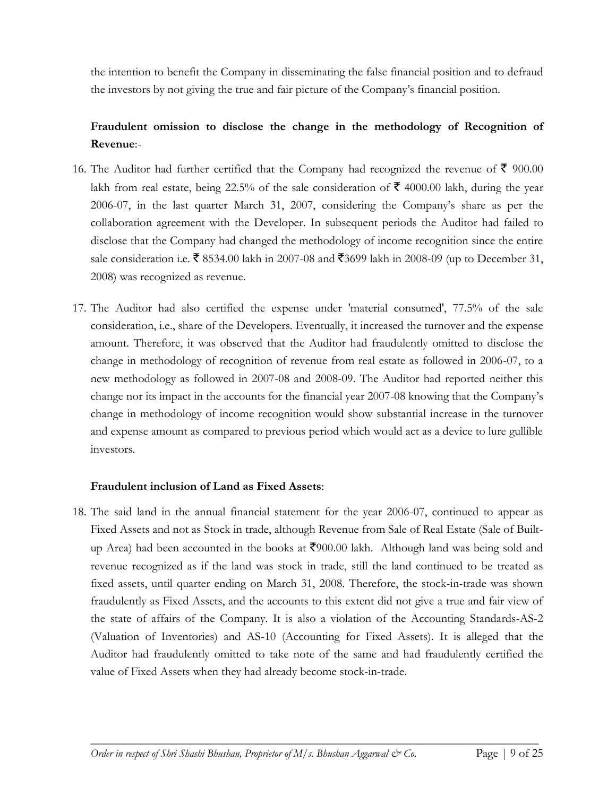the intention to benefit the Company in disseminating the false financial position and to defraud the investors by not giving the true and fair picture of the Company's financial position.

## **Fraudulent omission to disclose the change in the methodology of Recognition of Revenue**:-

- 16. The Auditor had further certified that the Company had recognized the revenue of  $\bar{\mathfrak{F}}$  900.00 lakh from real estate, being 22.5% of the sale consideration of  $\bar{\tau}$  4000.00 lakh, during the year 2006-07, in the last quarter March 31, 2007, considering the Company's share as per the collaboration agreement with the Developer. In subsequent periods the Auditor had failed to disclose that the Company had changed the methodology of income recognition since the entire sale consideration i.e.  $\bar{\mathbf{\zeta}}$  8534.00 lakh in 2007-08 and  $\bar{\mathbf{\zeta}}$ 3699 lakh in 2008-09 (up to December 31, 2008) was recognized as revenue.
- 17. The Auditor had also certified the expense under 'material consumed', 77.5% of the sale consideration, i.e., share of the Developers. Eventually, it increased the turnover and the expense amount. Therefore, it was observed that the Auditor had fraudulently omitted to disclose the change in methodology of recognition of revenue from real estate as followed in 2006-07, to a new methodology as followed in 2007-08 and 2008-09. The Auditor had reported neither this change nor its impact in the accounts for the financial year 2007-08 knowing that the Company's change in methodology of income recognition would show substantial increase in the turnover and expense amount as compared to previous period which would act as a device to lure gullible investors.

## **Fraudulent inclusion of Land as Fixed Assets**:

18. The said land in the annual financial statement for the year 2006-07, continued to appear as Fixed Assets and not as Stock in trade, although Revenue from Sale of Real Estate (Sale of Builtup Area) had been accounted in the books at  $\bar{\xi}$ 900.00 lakh. Although land was being sold and revenue recognized as if the land was stock in trade, still the land continued to be treated as fixed assets, until quarter ending on March 31, 2008. Therefore, the stock-in-trade was shown fraudulently as Fixed Assets, and the accounts to this extent did not give a true and fair view of the state of affairs of the Company. It is also a violation of the Accounting Standards-AS-2 (Valuation of Inventories) and AS-10 (Accounting for Fixed Assets). It is alleged that the Auditor had fraudulently omitted to take note of the same and had fraudulently certified the value of Fixed Assets when they had already become stock-in-trade.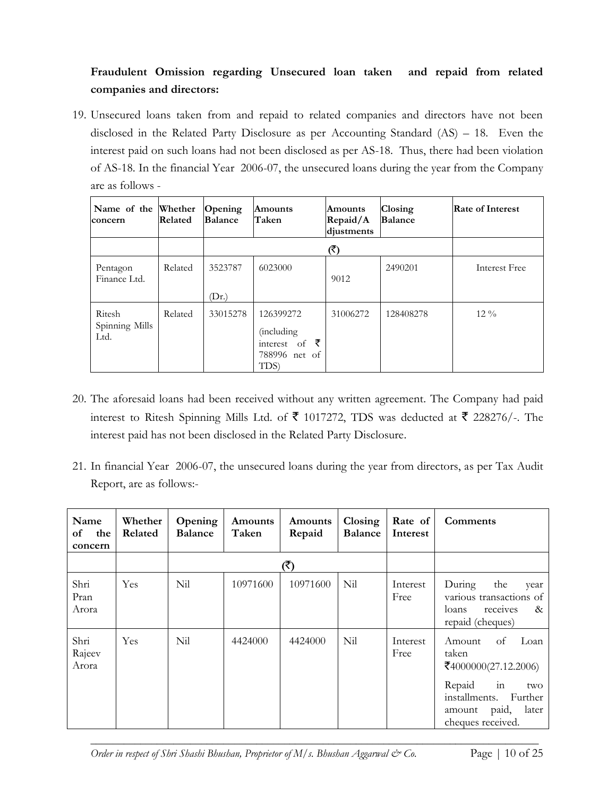## **Fraudulent Omission regarding Unsecured loan taken and repaid from related companies and directors:**

19. Unsecured loans taken from and repaid to related companies and directors have not been disclosed in the Related Party Disclosure as per Accounting Standard (AS) – 18. Even the interest paid on such loans had not been disclosed as per AS-18. Thus, there had been violation of AS-18. In the financial Year 2006-07, the unsecured loans during the year from the Company are as follows -

| Name of the Whether<br>concern   | Related | Opening<br><b>Balance</b> | Amounts<br>Taken                                                             | <b>Amounts</b><br>Repaid/A<br>diustments | Closing<br><b>Balance</b> | <b>Rate of Interest</b> |
|----------------------------------|---------|---------------------------|------------------------------------------------------------------------------|------------------------------------------|---------------------------|-------------------------|
|                                  |         |                           |                                                                              | (₹)                                      |                           |                         |
| Pentagon<br>Finance Ltd.         | Related | 3523787<br>(Dr.)          | 6023000                                                                      | 9012                                     | 2490201                   | Interest Free           |
| Ritesh<br>Spinning Mills<br>Ltd. | Related | 33015278                  | 126399272<br><i>(including)</i><br>₹<br>interest of<br>788996 net of<br>TDS) | 31006272                                 | 128408278                 | $12\%$                  |

- 20. The aforesaid loans had been received without any written agreement. The Company had paid interest to Ritesh Spinning Mills Ltd. of  $\bar{\mathfrak{F}}$  1017272, TDS was deducted at  $\bar{\mathfrak{F}}$  228276/-. The interest paid has not been disclosed in the Related Party Disclosure.
- 21. In financial Year 2006-07, the unsecured loans during the year from directors, as per Tax Audit Report, are as follows:-

| Name<br>of<br>the<br>concern | Whether<br>Related | Opening<br><b>Balance</b> | Amounts<br>Taken | Amounts<br>Repaid | Closing<br><b>Balance</b> | Rate of<br>Interest | Comments                                                                                                                                                  |
|------------------------------|--------------------|---------------------------|------------------|-------------------|---------------------------|---------------------|-----------------------------------------------------------------------------------------------------------------------------------------------------------|
|                              |                    |                           |                  | (2                |                           |                     |                                                                                                                                                           |
| Shri<br>Pran<br>Arora        | <b>Yes</b>         | Nil                       | 10971600         | 10971600          | Nil                       | Interest<br>Free    | During<br>the<br>vear<br>various transactions of<br>loans<br>receives<br>$\&$<br>repaid (cheques)                                                         |
| Shri<br>Rajeev<br>Arora      | Yes                | Nil                       | 4424000          | 4424000           | Nil                       | Interest<br>Free    | of<br>Loan<br>Amount<br>taken<br>₹4000000(27.12.2006)<br>Repaid<br>in<br>two<br>installments.<br>Further<br>later<br>paid,<br>amount<br>cheques received. |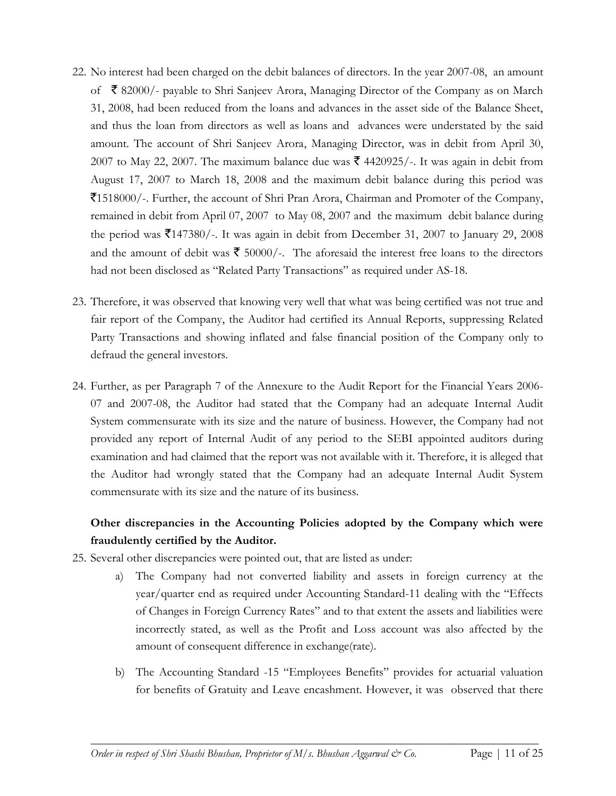- 22. No interest had been charged on the debit balances of directors. In the year 2007-08, an amount of  $\bar{\mathcal{R}}$  82000/- payable to Shri Sanjeev Arora, Managing Director of the Company as on March 31, 2008, had been reduced from the loans and advances in the asset side of the Balance Sheet, and thus the loan from directors as well as loans and advances were understated by the said amount. The account of Shri Sanjeev Arora, Managing Director, was in debit from April 30, 2007 to May 22, 2007. The maximum balance due was  $\bar{\mathcal{F}}$  4420925/-. It was again in debit from August 17, 2007 to March 18, 2008 and the maximum debit balance during this period was `1518000/-. Further, the account of Shri Pran Arora, Chairman and Promoter of the Company, remained in debit from April 07, 2007 to May 08, 2007 and the maximum debit balance during the period was  $\text{\textsterling}147380/$ -. It was again in debit from December 31, 2007 to January 29, 2008 and the amount of debit was  $\bar{\mathbf{\tau}}$  50000/-. The aforesaid the interest free loans to the directors had not been disclosed as "Related Party Transactions" as required under AS-18.
- 23. Therefore, it was observed that knowing very well that what was being certified was not true and fair report of the Company, the Auditor had certified its Annual Reports, suppressing Related Party Transactions and showing inflated and false financial position of the Company only to defraud the general investors.
- 24. Further, as per Paragraph 7 of the Annexure to the Audit Report for the Financial Years 2006- 07 and 2007-08, the Auditor had stated that the Company had an adequate Internal Audit System commensurate with its size and the nature of business. However, the Company had not provided any report of Internal Audit of any period to the SEBI appointed auditors during examination and had claimed that the report was not available with it. Therefore, it is alleged that the Auditor had wrongly stated that the Company had an adequate Internal Audit System commensurate with its size and the nature of its business.

## **Other discrepancies in the Accounting Policies adopted by the Company which were fraudulently certified by the Auditor.**

- 25. Several other discrepancies were pointed out, that are listed as under:
	- a) The Company had not converted liability and assets in foreign currency at the year/quarter end as required under Accounting Standard-11 dealing with the "Effects of Changes in Foreign Currency Rates" and to that extent the assets and liabilities were incorrectly stated, as well as the Profit and Loss account was also affected by the amount of consequent difference in exchange(rate).
	- b) The Accounting Standard -15 "Employees Benefits" provides for actuarial valuation for benefits of Gratuity and Leave encashment. However, it was observed that there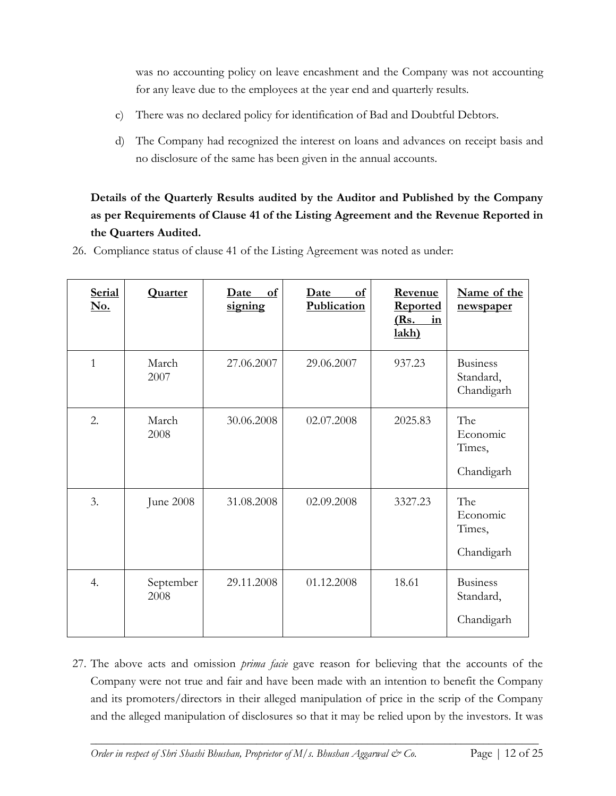was no accounting policy on leave encashment and the Company was not accounting for any leave due to the employees at the year end and quarterly results.

- c) There was no declared policy for identification of Bad and Doubtful Debtors.
- d) The Company had recognized the interest on loans and advances on receipt basis and no disclosure of the same has been given in the annual accounts.

# **Details of the Quarterly Results audited by the Auditor and Published by the Company as per Requirements of Clause 41 of the Listing Agreement and the Revenue Reported in the Quarters Audited.**

| <b>Serial</b><br>No. | <b>Quarter</b>    | of<br><u>Date</u><br>signing | of<br>Date<br>Publication | Revenue<br><b>Reported</b><br>(Rs.<br>in<br>lakh) | Name of the<br>newspaper                   |
|----------------------|-------------------|------------------------------|---------------------------|---------------------------------------------------|--------------------------------------------|
| $\mathbf{1}$         | March<br>2007     | 27.06.2007                   | 29.06.2007                | 937.23                                            | <b>Business</b><br>Standard,<br>Chandigarh |
| 2.                   | March<br>2008     | 30.06.2008                   | 02.07.2008                | 2025.83                                           | The<br>Economic<br>Times,<br>Chandigarh    |
| 3.                   | June 2008         | 31.08.2008                   | 02.09.2008                | 3327.23                                           | The<br>Economic<br>Times,<br>Chandigarh    |
| 4.                   | September<br>2008 | 29.11.2008                   | 01.12.2008                | 18.61                                             | <b>Business</b><br>Standard,<br>Chandigarh |

26. Compliance status of clause 41 of the Listing Agreement was noted as under:

27. The above acts and omission *prima facie* gave reason for believing that the accounts of the Company were not true and fair and have been made with an intention to benefit the Company and its promoters/directors in their alleged manipulation of price in the scrip of the Company and the alleged manipulation of disclosures so that it may be relied upon by the investors. It was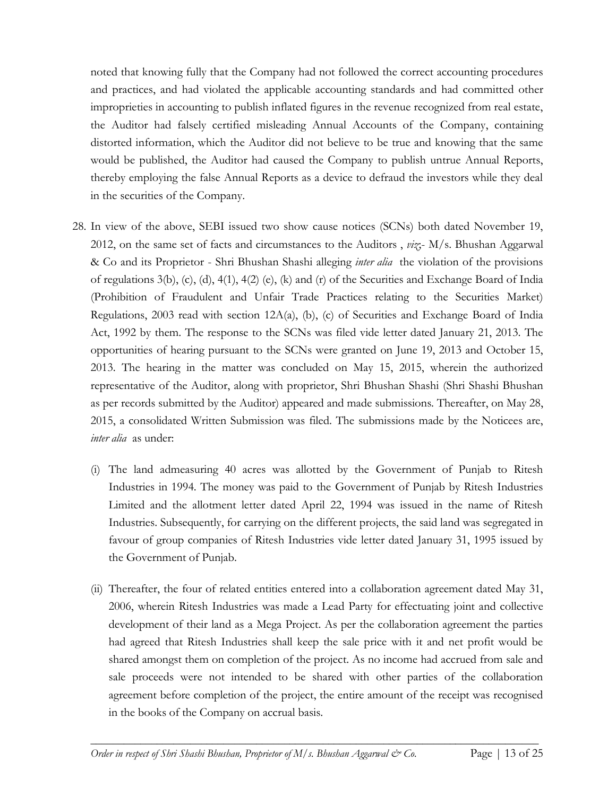noted that knowing fully that the Company had not followed the correct accounting procedures and practices, and had violated the applicable accounting standards and had committed other improprieties in accounting to publish inflated figures in the revenue recognized from real estate, the Auditor had falsely certified misleading Annual Accounts of the Company, containing distorted information, which the Auditor did not believe to be true and knowing that the same would be published, the Auditor had caused the Company to publish untrue Annual Reports, thereby employing the false Annual Reports as a device to defraud the investors while they deal in the securities of the Company.

- 28. In view of the above, SEBI issued two show cause notices (SCNs) both dated November 19, 2012, on the same set of facts and circumstances to the Auditors , *viz*;- M/s. Bhushan Aggarwal & Co and its Proprietor - Shri Bhushan Shashi alleging *inter alia* the violation of the provisions of regulations 3(b), (c), (d), 4(1), 4(2) (e), (k) and (r) of the Securities and Exchange Board of India (Prohibition of Fraudulent and Unfair Trade Practices relating to the Securities Market) Regulations, 2003 read with section 12A(a), (b), (c) of Securities and Exchange Board of India Act, 1992 by them. The response to the SCNs was filed vide letter dated January 21, 2013. The opportunities of hearing pursuant to the SCNs were granted on June 19, 2013 and October 15, 2013. The hearing in the matter was concluded on May 15, 2015, wherein the authorized representative of the Auditor, along with proprietor, Shri Bhushan Shashi (Shri Shashi Bhushan as per records submitted by the Auditor) appeared and made submissions. Thereafter, on May 28, 2015, a consolidated Written Submission was filed. The submissions made by the Noticees are, *inter alia* as under:
	- (i) The land admeasuring 40 acres was allotted by the Government of Punjab to Ritesh Industries in 1994. The money was paid to the Government of Punjab by Ritesh Industries Limited and the allotment letter dated April 22, 1994 was issued in the name of Ritesh Industries. Subsequently, for carrying on the different projects, the said land was segregated in favour of group companies of Ritesh Industries vide letter dated January 31, 1995 issued by the Government of Punjab.
	- (ii) Thereafter, the four of related entities entered into a collaboration agreement dated May 31, 2006, wherein Ritesh Industries was made a Lead Party for effectuating joint and collective development of their land as a Mega Project. As per the collaboration agreement the parties had agreed that Ritesh Industries shall keep the sale price with it and net profit would be shared amongst them on completion of the project. As no income had accrued from sale and sale proceeds were not intended to be shared with other parties of the collaboration agreement before completion of the project, the entire amount of the receipt was recognised in the books of the Company on accrual basis.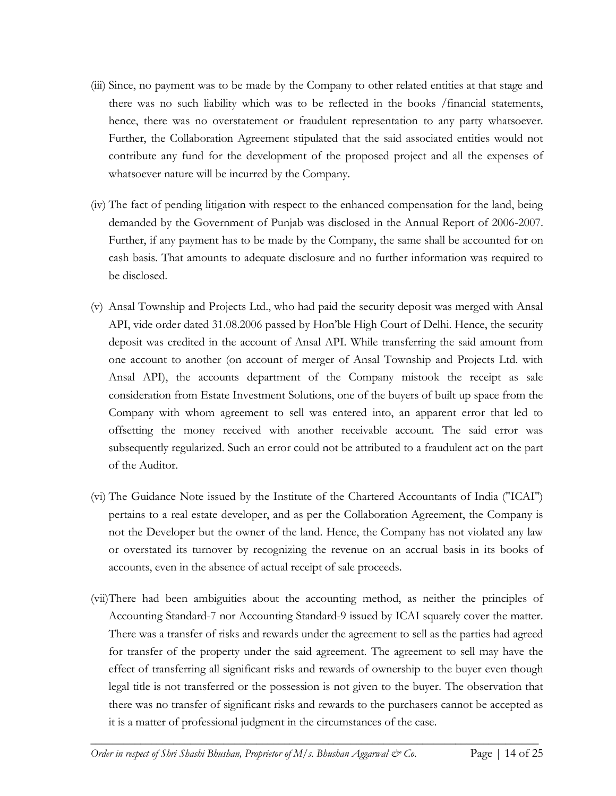- (iii) Since, no payment was to be made by the Company to other related entities at that stage and there was no such liability which was to be reflected in the books /financial statements, hence, there was no overstatement or fraudulent representation to any party whatsoever. Further, the Collaboration Agreement stipulated that the said associated entities would not contribute any fund for the development of the proposed project and all the expenses of whatsoever nature will be incurred by the Company.
- (iv) The fact of pending litigation with respect to the enhanced compensation for the land, being demanded by the Government of Punjab was disclosed in the Annual Report of 2006-2007. Further, if any payment has to be made by the Company, the same shall be accounted for on cash basis. That amounts to adequate disclosure and no further information was required to be disclosed.
- (v) Ansal Township and Projects Ltd., who had paid the security deposit was merged with Ansal API, vide order dated 31.08.2006 passed by Hon'ble High Court of Delhi. Hence, the security deposit was credited in the account of Ansal API. While transferring the said amount from one account to another (on account of merger of Ansal Township and Projects Ltd. with Ansal API), the accounts department of the Company mistook the receipt as sale consideration from Estate Investment Solutions, one of the buyers of built up space from the Company with whom agreement to sell was entered into, an apparent error that led to offsetting the money received with another receivable account. The said error was subsequently regularized. Such an error could not be attributed to a fraudulent act on the part of the Auditor.
- (vi) The Guidance Note issued by the Institute of the Chartered Accountants of India ("ICAI") pertains to a real estate developer, and as per the Collaboration Agreement, the Company is not the Developer but the owner of the land. Hence, the Company has not violated any law or overstated its turnover by recognizing the revenue on an accrual basis in its books of accounts, even in the absence of actual receipt of sale proceeds.
- (vii)There had been ambiguities about the accounting method, as neither the principles of Accounting Standard-7 nor Accounting Standard-9 issued by ICAI squarely cover the matter. There was a transfer of risks and rewards under the agreement to sell as the parties had agreed for transfer of the property under the said agreement. The agreement to sell may have the effect of transferring all significant risks and rewards of ownership to the buyer even though legal title is not transferred or the possession is not given to the buyer. The observation that there was no transfer of significant risks and rewards to the purchasers cannot be accepted as it is a matter of professional judgment in the circumstances of the case.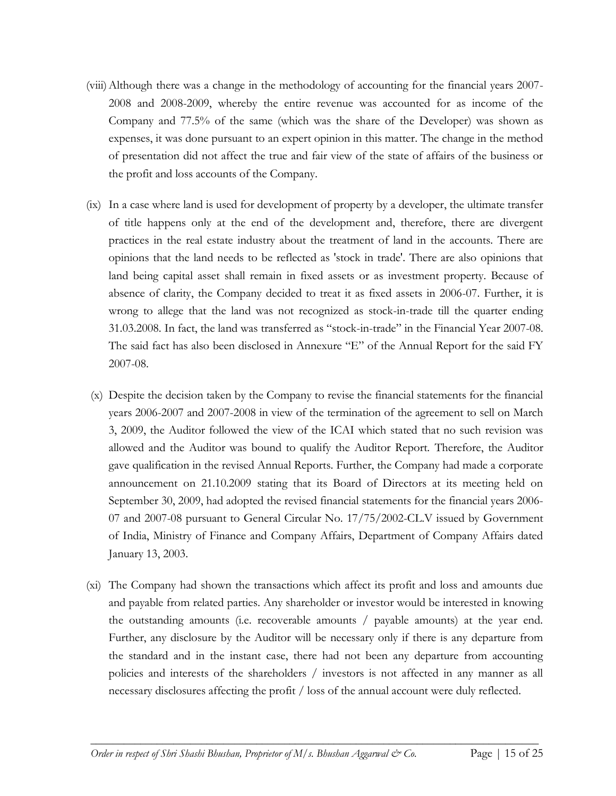- (viii)Although there was a change in the methodology of accounting for the financial years 2007- 2008 and 2008-2009, whereby the entire revenue was accounted for as income of the Company and 77.5% of the same (which was the share of the Developer) was shown as expenses, it was done pursuant to an expert opinion in this matter. The change in the method of presentation did not affect the true and fair view of the state of affairs of the business or the profit and loss accounts of the Company.
- (ix) In a case where land is used for development of property by a developer, the ultimate transfer of title happens only at the end of the development and, therefore, there are divergent practices in the real estate industry about the treatment of land in the accounts. There are opinions that the land needs to be reflected as 'stock in trade'. There are also opinions that land being capital asset shall remain in fixed assets or as investment property. Because of absence of clarity, the Company decided to treat it as fixed assets in 2006-07. Further, it is wrong to allege that the land was not recognized as stock-in-trade till the quarter ending 31.03.2008. In fact, the land was transferred as "stock-in-trade" in the Financial Year 2007-08. The said fact has also been disclosed in Annexure "E" of the Annual Report for the said FY 2007-08.
- (x) Despite the decision taken by the Company to revise the financial statements for the financial years 2006-2007 and 2007-2008 in view of the termination of the agreement to sell on March 3, 2009, the Auditor followed the view of the ICAI which stated that no such revision was allowed and the Auditor was bound to qualify the Auditor Report. Therefore, the Auditor gave qualification in the revised Annual Reports. Further, the Company had made a corporate announcement on 21.10.2009 stating that its Board of Directors at its meeting held on September 30, 2009, had adopted the revised financial statements for the financial years 2006- 07 and 2007-08 pursuant to General Circular No. 17/75/2002-CL.V issued by Government of India, Ministry of Finance and Company Affairs, Department of Company Affairs dated January 13, 2003.
- (xi) The Company had shown the transactions which affect its profit and loss and amounts due and payable from related parties. Any shareholder or investor would be interested in knowing the outstanding amounts (i.e. recoverable amounts / payable amounts) at the year end. Further, any disclosure by the Auditor will be necessary only if there is any departure from the standard and in the instant case, there had not been any departure from accounting policies and interests of the shareholders / investors is not affected in any manner as all necessary disclosures affecting the profit / loss of the annual account were duly reflected.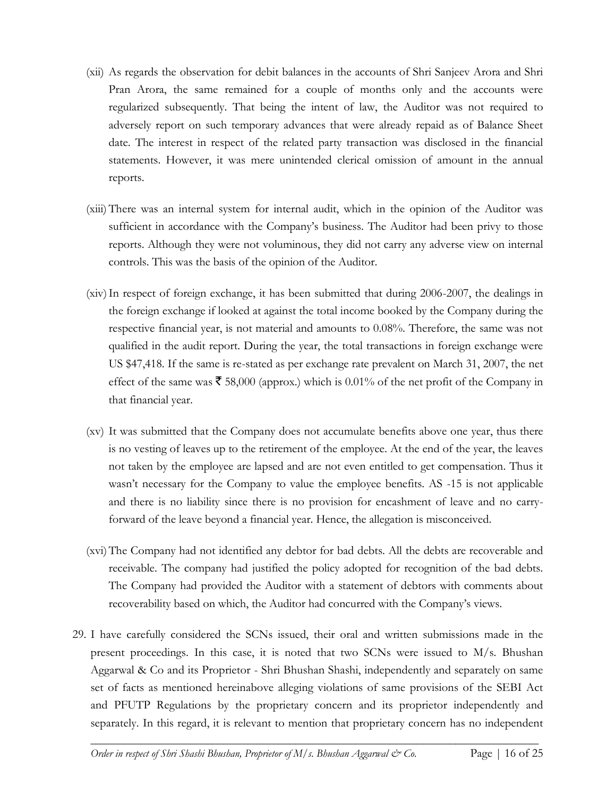- (xii) As regards the observation for debit balances in the accounts of Shri Sanjeev Arora and Shri Pran Arora, the same remained for a couple of months only and the accounts were regularized subsequently. That being the intent of law, the Auditor was not required to adversely report on such temporary advances that were already repaid as of Balance Sheet date. The interest in respect of the related party transaction was disclosed in the financial statements. However, it was mere unintended clerical omission of amount in the annual reports.
- (xiii) There was an internal system for internal audit, which in the opinion of the Auditor was sufficient in accordance with the Company's business. The Auditor had been privy to those reports. Although they were not voluminous, they did not carry any adverse view on internal controls. This was the basis of the opinion of the Auditor.
- (xiv)In respect of foreign exchange, it has been submitted that during 2006-2007, the dealings in the foreign exchange if looked at against the total income booked by the Company during the respective financial year, is not material and amounts to 0.08%. Therefore, the same was not qualified in the audit report. During the year, the total transactions in foreign exchange were US \$47,418. If the same is re-stated as per exchange rate prevalent on March 31, 2007, the net effect of the same was  $\bar{\mathbf{\tau}}$  58,000 (approx.) which is 0.01% of the net profit of the Company in that financial year.
- (xv) It was submitted that the Company does not accumulate benefits above one year, thus there is no vesting of leaves up to the retirement of the employee. At the end of the year, the leaves not taken by the employee are lapsed and are not even entitled to get compensation. Thus it wasn't necessary for the Company to value the employee benefits. AS -15 is not applicable and there is no liability since there is no provision for encashment of leave and no carryforward of the leave beyond a financial year. Hence, the allegation is misconceived.
- (xvi)The Company had not identified any debtor for bad debts. All the debts are recoverable and receivable. The company had justified the policy adopted for recognition of the bad debts. The Company had provided the Auditor with a statement of debtors with comments about recoverability based on which, the Auditor had concurred with the Company's views.
- 29. I have carefully considered the SCNs issued, their oral and written submissions made in the present proceedings. In this case, it is noted that two SCNs were issued to M/s. Bhushan Aggarwal & Co and its Proprietor - Shri Bhushan Shashi, independently and separately on same set of facts as mentioned hereinabove alleging violations of same provisions of the SEBI Act and PFUTP Regulations by the proprietary concern and its proprietor independently and separately. In this regard, it is relevant to mention that proprietary concern has no independent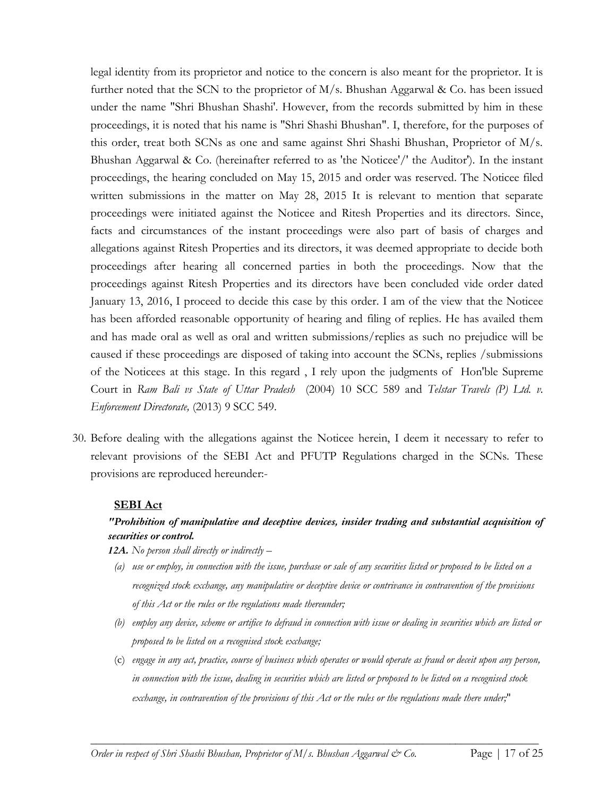legal identity from its proprietor and notice to the concern is also meant for the proprietor. It is further noted that the SCN to the proprietor of M/s. Bhushan Aggarwal & Co. has been issued under the name "Shri Bhushan Shashi'. However, from the records submitted by him in these proceedings, it is noted that his name is "Shri Shashi Bhushan". I, therefore, for the purposes of this order, treat both SCNs as one and same against Shri Shashi Bhushan, Proprietor of M/s. Bhushan Aggarwal & Co. (hereinafter referred to as 'the Noticee'/' the Auditor'). In the instant proceedings, the hearing concluded on May 15, 2015 and order was reserved. The Noticee filed written submissions in the matter on May 28, 2015 It is relevant to mention that separate proceedings were initiated against the Noticee and Ritesh Properties and its directors. Since, facts and circumstances of the instant proceedings were also part of basis of charges and allegations against Ritesh Properties and its directors, it was deemed appropriate to decide both proceedings after hearing all concerned parties in both the proceedings. Now that the proceedings against Ritesh Properties and its directors have been concluded vide order dated January 13, 2016, I proceed to decide this case by this order. I am of the view that the Noticee has been afforded reasonable opportunity of hearing and filing of replies. He has availed them and has made oral as well as oral and written submissions/replies as such no prejudice will be caused if these proceedings are disposed of taking into account the SCNs, replies /submissions of the Noticees at this stage. In this regard , I rely upon the judgments of Hon'ble Supreme Court in *Ram Bali vs State of Uttar Pradesh* (2004) 10 SCC 589 and *Telstar Travels (P) Ltd. v. Enforcement Directorate,* (2013) 9 SCC 549.

30. Before dealing with the allegations against the Noticee herein, I deem it necessary to refer to relevant provisions of the SEBI Act and PFUTP Regulations charged in the SCNs. These provisions are reproduced hereunder:-

## **SEBI Act**

## *"Prohibition of manipulative and deceptive devices, insider trading and substantial acquisition of securities or control.*

*12A. No person shall directly or indirectly –*

- *(a) use or employ, in connection with the issue, purchase or sale of any securities listed or proposed to be listed on a recognized stock exchange, any manipulative or deceptive device or contrivance in contravention of the provisions of this Act or the rules or the regulations made thereunder;*
- *(b) employ any device, scheme or artifice to defraud in connection with issue or dealing in securities which are listed or proposed to be listed on a recognised stock exchange;*
- (c) *engage in any act, practice, course of business which operates or would operate as fraud or deceit upon any person, in connection with the issue, dealing in securities which are listed or proposed to be listed on a recognised stock exchange, in contravention of the provisions of this Act or the rules or the regulations made there under;*"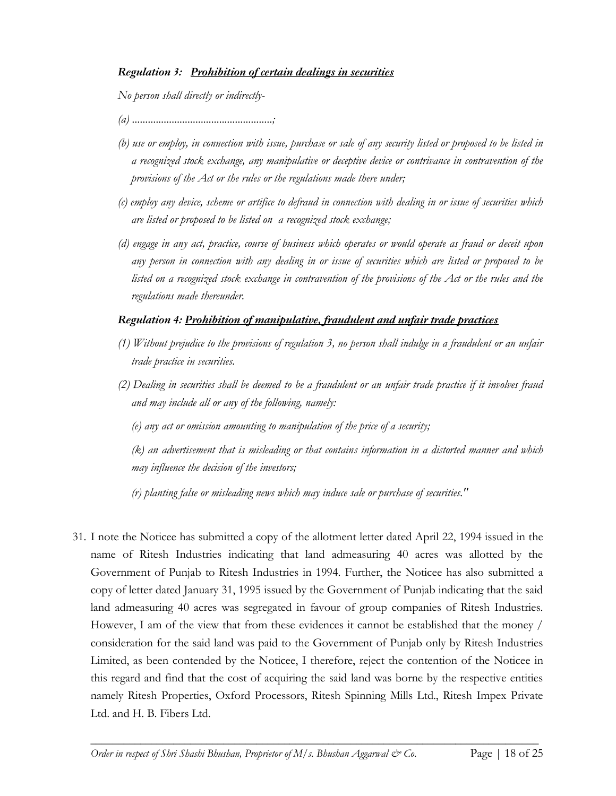## *Regulation 3: Prohibition of certain dealings in securities*

*No person shall directly or indirectly-*

- *(a) .....................................................;*
- *(b) use or employ, in connection with issue, purchase or sale of any security listed or proposed to be listed in a recognized stock exchange, any manipulative or deceptive device or contrivance in contravention of the provisions of the Act or the rules or the regulations made there under;*
- *(c) employ any device, scheme or artifice to defraud in connection with dealing in or issue of securities which are listed or proposed to be listed on a recognized stock exchange;*
- *(d) engage in any act, practice, course of business which operates or would operate as fraud or deceit upon any person in connection with any dealing in or issue of securities which are listed or proposed to be listed on a recognized stock exchange in contravention of the provisions of the Act or the rules and the regulations made thereunder.*

## *Regulation 4: Prohibition of manipulative, fraudulent and unfair trade practices*

- *(1) Without prejudice to the provisions of regulation 3, no person shall indulge in a fraudulent or an unfair trade practice in securities.*
- *(2) Dealing in securities shall be deemed to be a fraudulent or an unfair trade practice if it involves fraud and may include all or any of the following, namely:*

*(e) any act or omission amounting to manipulation of the price of a security;*

*(k) an advertisement that is misleading or that contains information in a distorted manner and which may influence the decision of the investors;*

*(r) planting false or misleading news which may induce sale or purchase of securities."* 

31. I note the Noticee has submitted a copy of the allotment letter dated April 22, 1994 issued in the name of Ritesh Industries indicating that land admeasuring 40 acres was allotted by the Government of Punjab to Ritesh Industries in 1994. Further, the Noticee has also submitted a copy of letter dated January 31, 1995 issued by the Government of Punjab indicating that the said land admeasuring 40 acres was segregated in favour of group companies of Ritesh Industries. However, I am of the view that from these evidences it cannot be established that the money / consideration for the said land was paid to the Government of Punjab only by Ritesh Industries Limited, as been contended by the Noticee, I therefore, reject the contention of the Noticee in this regard and find that the cost of acquiring the said land was borne by the respective entities namely Ritesh Properties, Oxford Processors, Ritesh Spinning Mills Ltd., Ritesh Impex Private Ltd. and H. B. Fibers Ltd.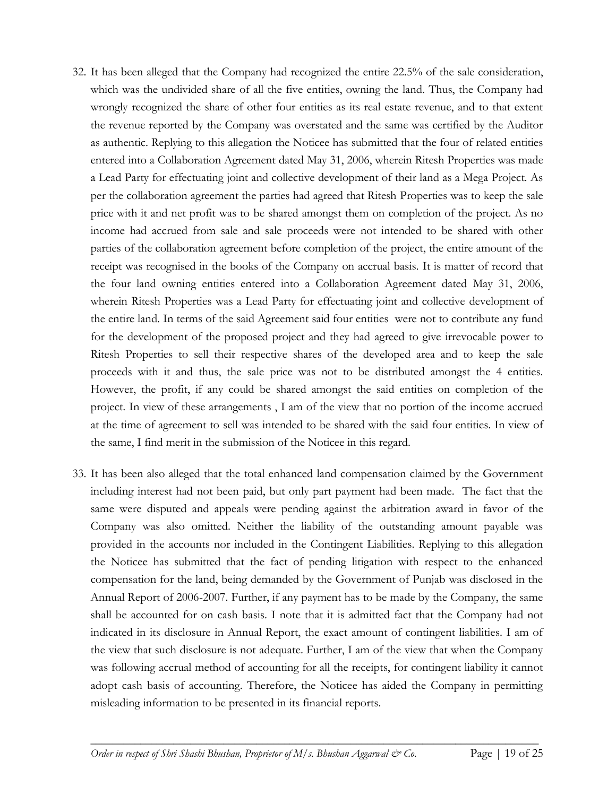- 32. It has been alleged that the Company had recognized the entire 22.5% of the sale consideration, which was the undivided share of all the five entities, owning the land. Thus, the Company had wrongly recognized the share of other four entities as its real estate revenue, and to that extent the revenue reported by the Company was overstated and the same was certified by the Auditor as authentic. Replying to this allegation the Noticee has submitted that the four of related entities entered into a Collaboration Agreement dated May 31, 2006, wherein Ritesh Properties was made a Lead Party for effectuating joint and collective development of their land as a Mega Project. As per the collaboration agreement the parties had agreed that Ritesh Properties was to keep the sale price with it and net profit was to be shared amongst them on completion of the project. As no income had accrued from sale and sale proceeds were not intended to be shared with other parties of the collaboration agreement before completion of the project, the entire amount of the receipt was recognised in the books of the Company on accrual basis. It is matter of record that the four land owning entities entered into a Collaboration Agreement dated May 31, 2006, wherein Ritesh Properties was a Lead Party for effectuating joint and collective development of the entire land. In terms of the said Agreement said four entities were not to contribute any fund for the development of the proposed project and they had agreed to give irrevocable power to Ritesh Properties to sell their respective shares of the developed area and to keep the sale proceeds with it and thus, the sale price was not to be distributed amongst the 4 entities. However, the profit, if any could be shared amongst the said entities on completion of the project. In view of these arrangements , I am of the view that no portion of the income accrued at the time of agreement to sell was intended to be shared with the said four entities. In view of the same, I find merit in the submission of the Noticee in this regard.
- 33. It has been also alleged that the total enhanced land compensation claimed by the Government including interest had not been paid, but only part payment had been made. The fact that the same were disputed and appeals were pending against the arbitration award in favor of the Company was also omitted. Neither the liability of the outstanding amount payable was provided in the accounts nor included in the Contingent Liabilities. Replying to this allegation the Noticee has submitted that the fact of pending litigation with respect to the enhanced compensation for the land, being demanded by the Government of Punjab was disclosed in the Annual Report of 2006-2007. Further, if any payment has to be made by the Company, the same shall be accounted for on cash basis. I note that it is admitted fact that the Company had not indicated in its disclosure in Annual Report, the exact amount of contingent liabilities. I am of the view that such disclosure is not adequate. Further, I am of the view that when the Company was following accrual method of accounting for all the receipts, for contingent liability it cannot adopt cash basis of accounting. Therefore, the Noticee has aided the Company in permitting misleading information to be presented in its financial reports.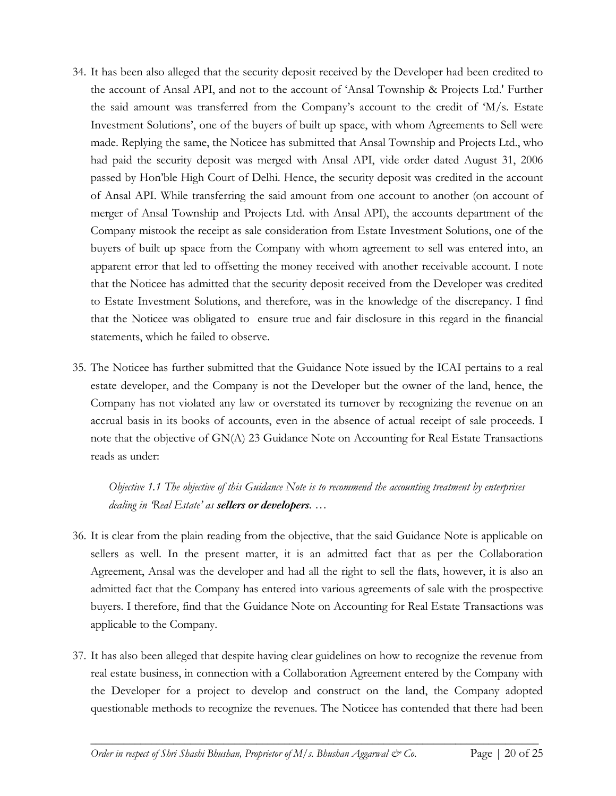- 34. It has been also alleged that the security deposit received by the Developer had been credited to the account of Ansal API, and not to the account of 'Ansal Township & Projects Ltd.' Further the said amount was transferred from the Company's account to the credit of 'M/s. Estate Investment Solutions', one of the buyers of built up space, with whom Agreements to Sell were made. Replying the same, the Noticee has submitted that Ansal Township and Projects Ltd., who had paid the security deposit was merged with Ansal API, vide order dated August 31, 2006 passed by Hon'ble High Court of Delhi. Hence, the security deposit was credited in the account of Ansal API. While transferring the said amount from one account to another (on account of merger of Ansal Township and Projects Ltd. with Ansal API), the accounts department of the Company mistook the receipt as sale consideration from Estate Investment Solutions, one of the buyers of built up space from the Company with whom agreement to sell was entered into, an apparent error that led to offsetting the money received with another receivable account. I note that the Noticee has admitted that the security deposit received from the Developer was credited to Estate Investment Solutions, and therefore, was in the knowledge of the discrepancy. I find that the Noticee was obligated to ensure true and fair disclosure in this regard in the financial statements, which he failed to observe.
- 35. The Noticee has further submitted that the Guidance Note issued by the ICAI pertains to a real estate developer, and the Company is not the Developer but the owner of the land, hence, the Company has not violated any law or overstated its turnover by recognizing the revenue on an accrual basis in its books of accounts, even in the absence of actual receipt of sale proceeds. I note that the objective of GN(A) 23 Guidance Note on Accounting for Real Estate Transactions reads as under:

*Objective 1.1 The objective of this Guidance Note is to recommend the accounting treatment by enterprises dealing in 'Real Estate' as sellers or developers. …*

- 36. It is clear from the plain reading from the objective, that the said Guidance Note is applicable on sellers as well. In the present matter, it is an admitted fact that as per the Collaboration Agreement, Ansal was the developer and had all the right to sell the flats, however, it is also an admitted fact that the Company has entered into various agreements of sale with the prospective buyers. I therefore, find that the Guidance Note on Accounting for Real Estate Transactions was applicable to the Company.
- 37. It has also been alleged that despite having clear guidelines on how to recognize the revenue from real estate business, in connection with a Collaboration Agreement entered by the Company with the Developer for a project to develop and construct on the land, the Company adopted questionable methods to recognize the revenues. The Noticee has contended that there had been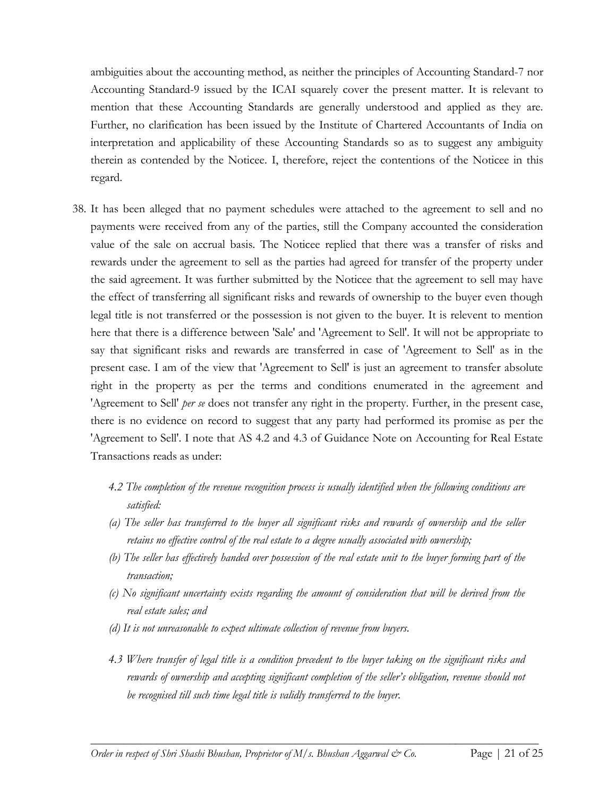ambiguities about the accounting method, as neither the principles of Accounting Standard-7 nor Accounting Standard-9 issued by the ICAI squarely cover the present matter. It is relevant to mention that these Accounting Standards are generally understood and applied as they are. Further, no clarification has been issued by the Institute of Chartered Accountants of India on interpretation and applicability of these Accounting Standards so as to suggest any ambiguity therein as contended by the Noticee. I, therefore, reject the contentions of the Noticee in this regard.

- 38. It has been alleged that no payment schedules were attached to the agreement to sell and no payments were received from any of the parties, still the Company accounted the consideration value of the sale on accrual basis. The Noticee replied that there was a transfer of risks and rewards under the agreement to sell as the parties had agreed for transfer of the property under the said agreement. It was further submitted by the Noticee that the agreement to sell may have the effect of transferring all significant risks and rewards of ownership to the buyer even though legal title is not transferred or the possession is not given to the buyer. It is relevent to mention here that there is a difference between 'Sale' and 'Agreement to Sell'. It will not be appropriate to say that significant risks and rewards are transferred in case of 'Agreement to Sell' as in the present case. I am of the view that 'Agreement to Sell' is just an agreement to transfer absolute right in the property as per the terms and conditions enumerated in the agreement and 'Agreement to Sell' *per se* does not transfer any right in the property. Further, in the present case, there is no evidence on record to suggest that any party had performed its promise as per the 'Agreement to Sell'. I note that AS 4.2 and 4.3 of Guidance Note on Accounting for Real Estate Transactions reads as under:
	- *4.2 The completion of the revenue recognition process is usually identified when the following conditions are satisfied:*
	- *(a) The seller has transferred to the buyer all significant risks and rewards of ownership and the seller retains no effective control of the real estate to a degree usually associated with ownership;*
	- *(b) The seller has effectively handed over possession of the real estate unit to the buyer forming part of the transaction;*
	- *(c) No significant uncertainty exists regarding the amount of consideration that will be derived from the real estate sales; and*
	- *(d) It is not unreasonable to expect ultimate collection of revenue from buyers.*
	- *4.3 Where transfer of legal title is a condition precedent to the buyer taking on the significant risks and rewards of ownership and accepting significant completion of the seller's obligation, revenue should not be recognised till such time legal title is validly transferred to the buyer.*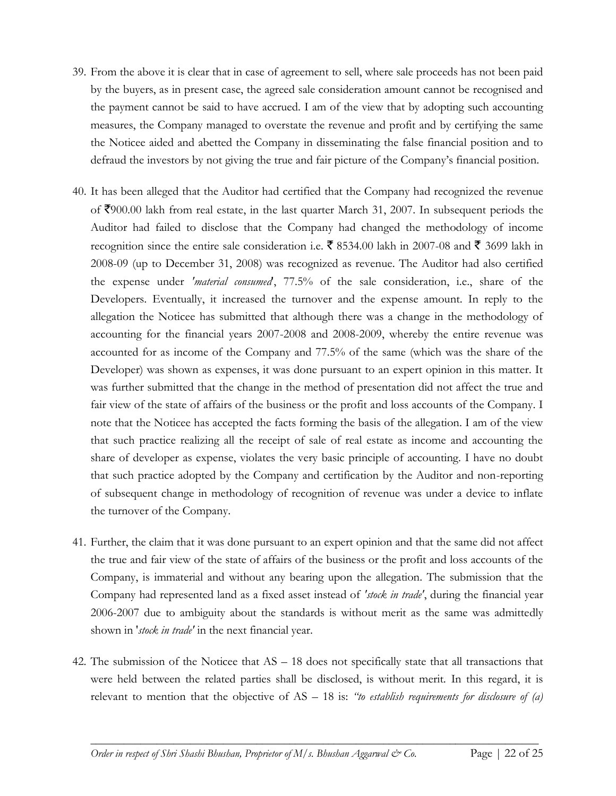- 39. From the above it is clear that in case of agreement to sell, where sale proceeds has not been paid by the buyers, as in present case, the agreed sale consideration amount cannot be recognised and the payment cannot be said to have accrued. I am of the view that by adopting such accounting measures, the Company managed to overstate the revenue and profit and by certifying the same the Noticee aided and abetted the Company in disseminating the false financial position and to defraud the investors by not giving the true and fair picture of the Company's financial position.
- 40. It has been alleged that the Auditor had certified that the Company had recognized the revenue of  $\bar{\mathcal{F}}$ 900.00 lakh from real estate, in the last quarter March 31, 2007. In subsequent periods the Auditor had failed to disclose that the Company had changed the methodology of income recognition since the entire sale consideration i.e.  $\bar{\mathbf{\tau}}$  8534.00 lakh in 2007-08 and  $\bar{\mathbf{\tau}}$  3699 lakh in 2008-09 (up to December 31, 2008) was recognized as revenue. The Auditor had also certified the expense under *'material consumed*', 77.5% of the sale consideration, i.e., share of the Developers. Eventually, it increased the turnover and the expense amount. In reply to the allegation the Noticee has submitted that although there was a change in the methodology of accounting for the financial years 2007-2008 and 2008-2009, whereby the entire revenue was accounted for as income of the Company and 77.5% of the same (which was the share of the Developer) was shown as expenses, it was done pursuant to an expert opinion in this matter. It was further submitted that the change in the method of presentation did not affect the true and fair view of the state of affairs of the business or the profit and loss accounts of the Company. I note that the Noticee has accepted the facts forming the basis of the allegation. I am of the view that such practice realizing all the receipt of sale of real estate as income and accounting the share of developer as expense, violates the very basic principle of accounting. I have no doubt that such practice adopted by the Company and certification by the Auditor and non-reporting of subsequent change in methodology of recognition of revenue was under a device to inflate the turnover of the Company.
- 41. Further, the claim that it was done pursuant to an expert opinion and that the same did not affect the true and fair view of the state of affairs of the business or the profit and loss accounts of the Company, is immaterial and without any bearing upon the allegation. The submission that the Company had represented land as a fixed asset instead of *'stock in trade'*, during the financial year 2006-2007 due to ambiguity about the standards is without merit as the same was admittedly shown in '*stock in trade'* in the next financial year.
- 42. The submission of the Noticee that AS 18 does not specifically state that all transactions that were held between the related parties shall be disclosed, is without merit. In this regard, it is relevant to mention that the objective of AS – 18 is: *"to establish requirements for disclosure of (a)*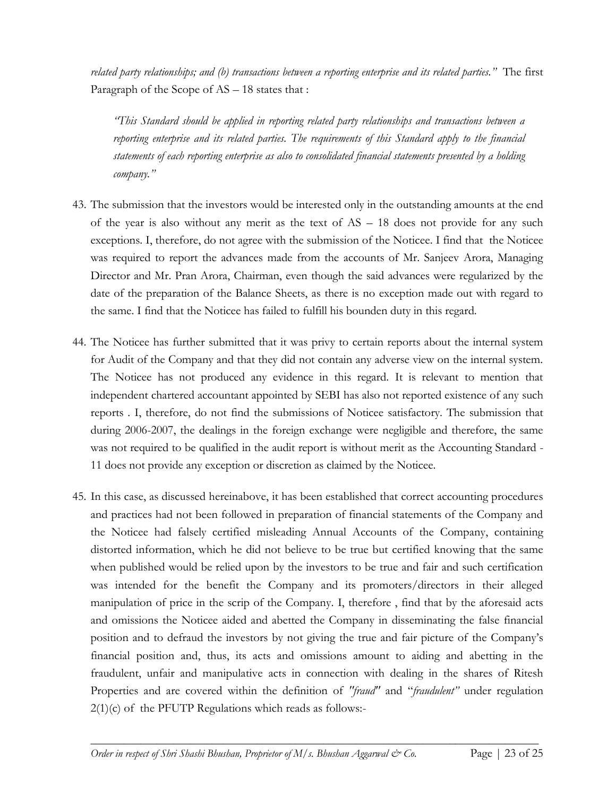*related party relationships; and (b) transactions between a reporting enterprise and its related parties."* The first Paragraph of the Scope of AS – 18 states that :

*"This Standard should be applied in reporting related party relationships and transactions between a reporting enterprise and its related parties. The requirements of this Standard apply to the financial statements of each reporting enterprise as also to consolidated financial statements presented by a holding company."*

- 43. The submission that the investors would be interested only in the outstanding amounts at the end of the year is also without any merit as the text of  $AS - 18$  does not provide for any such exceptions. I, therefore, do not agree with the submission of the Noticee. I find that the Noticee was required to report the advances made from the accounts of Mr. Sanjeev Arora, Managing Director and Mr. Pran Arora, Chairman, even though the said advances were regularized by the date of the preparation of the Balance Sheets, as there is no exception made out with regard to the same. I find that the Noticee has failed to fulfill his bounden duty in this regard.
- 44. The Noticee has further submitted that it was privy to certain reports about the internal system for Audit of the Company and that they did not contain any adverse view on the internal system. The Noticee has not produced any evidence in this regard. It is relevant to mention that independent chartered accountant appointed by SEBI has also not reported existence of any such reports . I, therefore, do not find the submissions of Noticee satisfactory. The submission that during 2006-2007, the dealings in the foreign exchange were negligible and therefore, the same was not required to be qualified in the audit report is without merit as the Accounting Standard - 11 does not provide any exception or discretion as claimed by the Noticee.
- 45. In this case, as discussed hereinabove, it has been established that correct accounting procedures and practices had not been followed in preparation of financial statements of the Company and the Noticee had falsely certified misleading Annual Accounts of the Company, containing distorted information, which he did not believe to be true but certified knowing that the same when published would be relied upon by the investors to be true and fair and such certification was intended for the benefit the Company and its promoters/directors in their alleged manipulation of price in the scrip of the Company. I, therefore , find that by the aforesaid acts and omissions the Noticee aided and abetted the Company in disseminating the false financial position and to defraud the investors by not giving the true and fair picture of the Company's financial position and, thus, its acts and omissions amount to aiding and abetting in the fraudulent, unfair and manipulative acts in connection with dealing in the shares of Ritesh Properties and are covered within the definition of *"fraud"* and "*fraudulent"* under regulation  $2(1)(c)$  of the PFUTP Regulations which reads as follows:-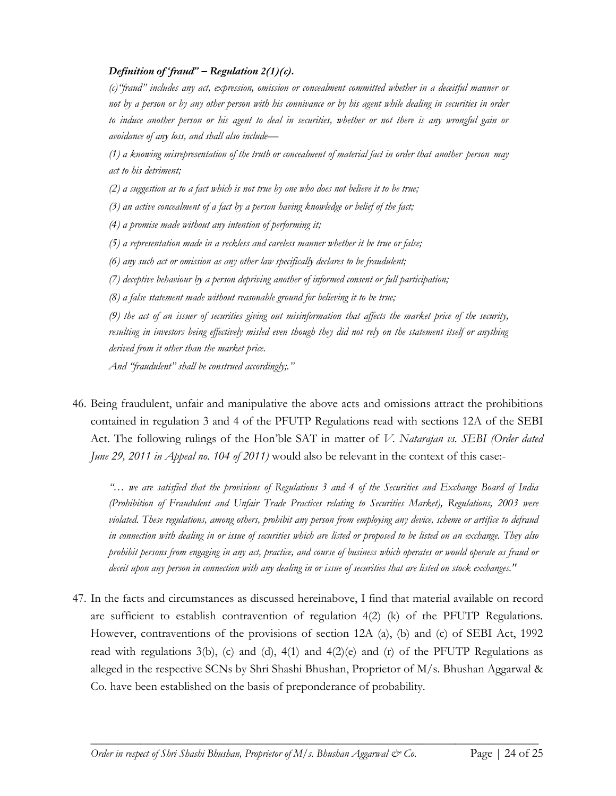## *Definition of 'fraud" – Regulation 2(1)(c).*

*(c)"fraud" includes any act, expression, omission or concealment committed whether in a deceitful manner or not by a person or by any other person with his connivance or by his agent while dealing in securities in order to induce another person or his agent to deal in securities, whether or not there is any wrongful gain or avoidance of any loss, and shall also include—*

*(1) a knowing misrepresentation of the truth or concealment of material fact in order that another person may act to his detriment;*

*(2) a suggestion as to a fact which is not true by one who does not believe it to be true;*

*(3) an active concealment of a fact by a person having knowledge or belief of the fact;*

*(4) a promise made without any intention of performing it;*

*(5) a representation made in a reckless and careless manner whether it be true or false;*

*(6) any such act or omission as any other law specifically declares to be fraudulent;*

*(7) deceptive behaviour by a person depriving another of informed consent or full participation;*

*(8) a false statement made without reasonable ground for believing it to be true;*

*(9) the act of an issuer of securities giving out misinformation that affects the market price of the security,*  resulting in investors being effectively misled even though they did not rely on the statement itself or anything *derived from it other than the market price.*

*And "fraudulent" shall be construed accordingly;."*

46. Being fraudulent, unfair and manipulative the above acts and omissions attract the prohibitions contained in regulation 3 and 4 of the PFUTP Regulations read with sections 12A of the SEBI Act. The following rulings of the Hon'ble SAT in matter of *V. Natarajan vs. SEBI (Order dated June 29, 2011 in Appeal no. 104 of 2011*) would also be relevant in the context of this case:-

*"… we are satisfied that the provisions of Regulations 3 and 4 of the Securities and Exchange Board of India (Prohibition of Fraudulent and Unfair Trade Practices relating to Securities Market), Regulations, 2003 were violated. These regulations, among others, prohibit any person from employing any device, scheme or artifice to defraud in connection with dealing in or issue of securities which are listed or proposed to be listed on an exchange. They also prohibit persons from engaging in any act, practice, and course of business which operates or would operate as fraud or deceit upon any person in connection with any dealing in or issue of securities that are listed on stock exchanges."*

47. In the facts and circumstances as discussed hereinabove, I find that material available on record are sufficient to establish contravention of regulation  $4(2)$  (k) of the PFUTP Regulations. However, contraventions of the provisions of section 12A (a), (b) and (c) of SEBI Act, 1992 read with regulations  $3(b)$ , (c) and (d),  $4(1)$  and  $4(2)(e)$  and (r) of the PFUTP Regulations as alleged in the respective SCNs by Shri Shashi Bhushan, Proprietor of M/s. Bhushan Aggarwal & Co. have been established on the basis of preponderance of probability.